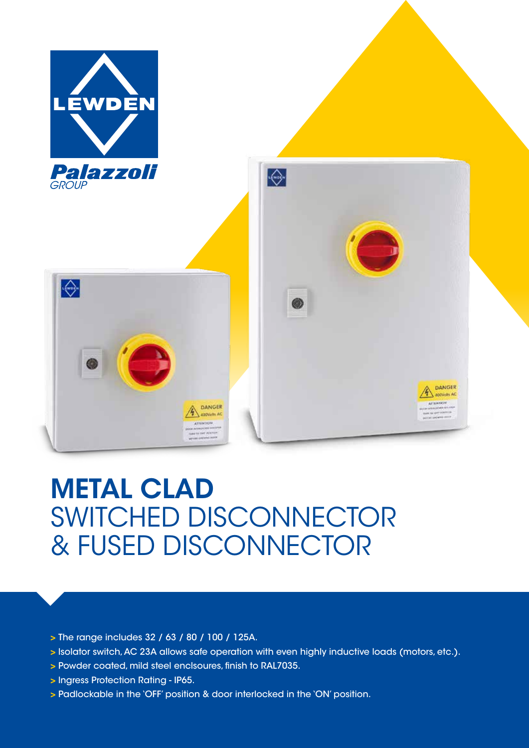

## METAL CLAD SWITCHED DISCONNECTOR & FUSED DISCONNECTOR

- > The range includes 32 / 63 / 80 / 100 / 125A.
- > lsolator switch, AC 23A allows safe operation with even highly inductive loads (motors, etc.).
- > Powder coated, mild steel enclsoures, finish to RAL7035.
- > lngress Protection Rating IP65.
- > Padlockable in the 'OFF' position & door interlocked in the 'ON' position.